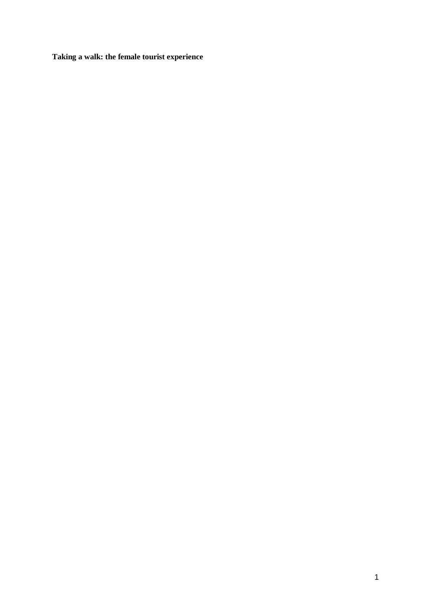**Taking a walk: the female tourist experience**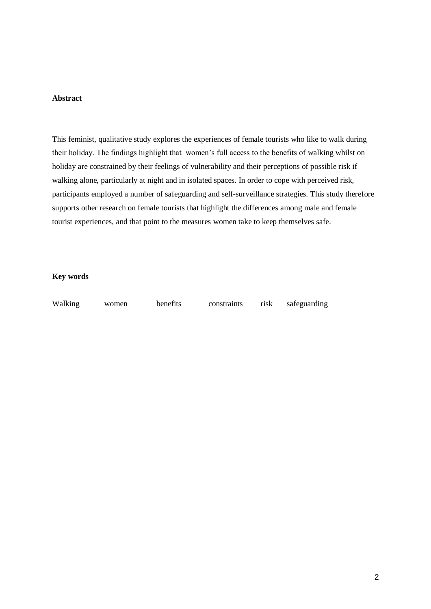## **Abstract**

This feminist, qualitative study explores the experiences of female tourists who like to walk during their holiday. The findings highlight that women's full access to the benefits of walking whilst on holiday are constrained by their feelings of vulnerability and their perceptions of possible risk if walking alone, particularly at night and in isolated spaces. In order to cope with perceived risk, participants employed a number of safeguarding and self-surveillance strategies. This study therefore supports other research on female tourists that highlight the differences among male and female tourist experiences, and that point to the measures women take to keep themselves safe.

### **Key words**

Walking women benefits constraints risk safeguarding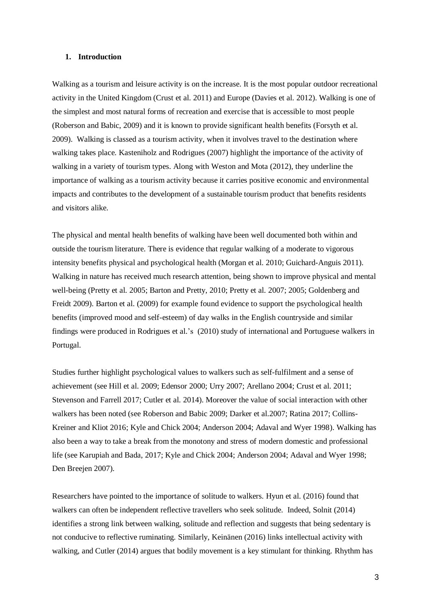### **1. Introduction**

Walking as a tourism and leisure activity is on the increase. It is the most popular outdoor recreational activity in the United Kingdom (Crust et al. 2011) and Europe (Davies et al. 2012). Walking is one of the simplest and most natural forms of recreation and exercise that is accessible to most people (Roberson and Babic, 2009) and it is known to provide significant health benefits (Forsyth et al. 2009). Walking is classed as a tourism activity, when it involves travel to the destination where walking takes place. Kasteniholz and Rodrigues (2007) highlight the importance of the activity of walking in a variety of tourism types. Along with Weston and Mota (2012), they underline the importance of walking as a tourism activity because it carries positive economic and environmental impacts and contributes to the development of a sustainable tourism product that benefits residents and visitors alike.

The physical and mental health benefits of walking have been well documented both within and outside the tourism literature. There is evidence that regular walking of a moderate to vigorous intensity benefits physical and psychological health (Morgan et al. 2010; Guichard-Anguis 2011). Walking in nature has received much research attention, being shown to improve physical and mental well-being (Pretty et al. 2005; Barton and Pretty, 2010; Pretty et al. 2007; 2005; Goldenberg and Freidt 2009). Barton et al. (2009) for example found evidence to support the psychological health benefits (improved mood and self-esteem) of day walks in the English countryside and similar findings were produced in Rodrigues et al.'s (2010) study of international and Portuguese walkers in Portugal.

Studies further highlight psychological values to walkers such as self-fulfilment and a sense of achievement (see Hill et al. 2009; Edensor 2000; Urry 2007; Arellano 2004; Crust et al. 2011; Stevenson and Farrell 2017; Cutler et al. 2014). Moreover the value of social interaction with other walkers has been noted (see Roberson and Babic 2009; Darker et al.2007; Ratina 2017; Collins-Kreiner and Kliot 2016; Kyle and Chick 2004; Anderson 2004; Adaval and Wyer 1998). Walking has also been a way to take a break from the monotony and stress of modern domestic and professional life (see Karupiah and Bada, 2017; Kyle and Chick 2004; Anderson 2004; Adaval and Wyer 1998; Den Breejen 2007).

Researchers have pointed to the importance of solitude to walkers. Hyun et al. (2016) found that walkers can often be independent reflective travellers who seek solitude. Indeed, Solnit (2014) identifies a strong link between walking, solitude and reflection and suggests that being sedentary is not conducive to reflective ruminating. Similarly, Keinänen (2016) links intellectual activity with walking, and Cutler (2014) argues that bodily movement is a key stimulant for thinking. Rhythm has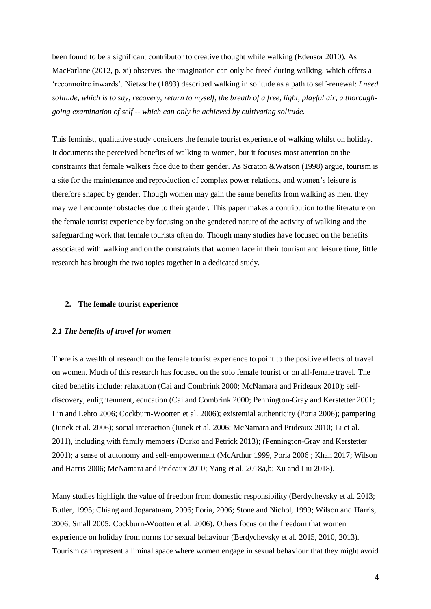been found to be a significant contributor to creative thought while walking (Edensor 2010). As MacFarlane (2012, p. xi) observes, the imagination can only be freed during walking, which offers a 'reconnoitre inwards'. Nietzsche (1893) described walking in solitude as a path to self-renewal: *I need solitude, which is to say, recovery, return to myself, the breath of a free, light, playful air, a thoroughgoing examination of self -- which can only be achieved by cultivating solitude.*

This feminist, qualitative study considers the female tourist experience of walking whilst on holiday. It documents the perceived benefits of walking to women, but it focuses most attention on the constraints that female walkers face due to their gender. As Scraton &Watson (1998) argue, tourism is a site for the maintenance and reproduction of complex power relations, and women's leisure is therefore shaped by gender. Though women may gain the same benefits from walking as men, they may well encounter obstacles due to their gender. This paper makes a contribution to the literature on the female tourist experience by focusing on the gendered nature of the activity of walking and the safeguarding work that female tourists often do. Though many studies have focused on the benefits associated with walking and on the constraints that women face in their tourism and leisure time, little research has brought the two topics together in a dedicated study.

### **2. The female tourist experience**

### *2.1 The benefits of travel for women*

There is a wealth of research on the female tourist experience to point to the positive effects of travel on women. Much of this research has focused on the solo female tourist or on all-female travel. The cited benefits include: relaxation (Cai and Combrink 2000; McNamara and Prideaux 2010); selfdiscovery, enlightenment, education (Cai and Combrink 2000; Pennington-Gray and Kerstetter 2001; Lin and Lehto 2006; Cockburn-Wootten et al. 2006); existential authenticity (Poria 2006); pampering (Junek et al. 2006); social interaction (Junek et al. 2006; McNamara and Prideaux 2010; Li et al. 2011), including with family members (Durko and Petrick 2013); (Pennington-Gray and Kerstetter 2001); a sense of autonomy and self-empowerment (McArthur 1999, Poria 2006 ; Khan 2017; Wilson and Harris 2006; McNamara and Prideaux 2010; Yang et al. 2018a,b; Xu and Liu 2018).

Many studies highlight the value of freedom from domestic responsibility (Berdychevsky et al. 2013; Butler, 1995; Chiang and Jogaratnam, 2006; Poria, 2006; Stone and Nichol, 1999; Wilson and Harris, 2006; Small 2005; Cockburn-Wootten et al. 2006). Others focus on the freedom that women experience on holiday from norms for sexual behaviour (Berdychevsky et al. 2015, 2010, 2013). Tourism can represent a liminal space where women engage in sexual behaviour that they might avoid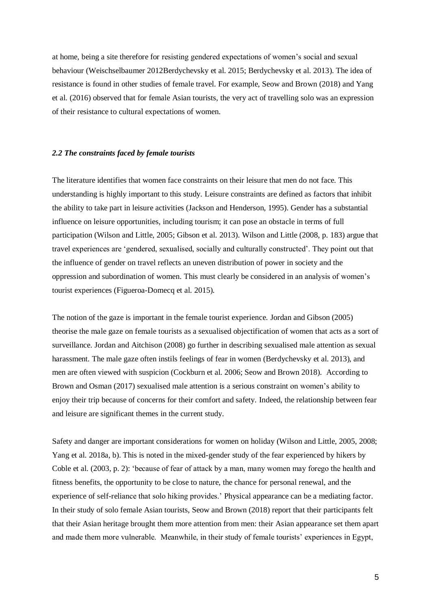at home, being a site therefore for resisting gendered expectations of women's social and sexual behaviour (Weischselbaumer 2012Berdychevsky et al. 2015; Berdychevsky et al. 2013). The idea of resistance is found in other studies of female travel. For example, Seow and Brown (2018) and Yang et al. (2016) observed that for female Asian tourists, the very act of travelling solo was an expression of their resistance to cultural expectations of women.

#### *2.2 The constraints faced by female tourists*

The literature identifies that women face constraints on their leisure that men do not face. This understanding is highly important to this study. Leisure constraints are defined as factors that inhibit the ability to take part in leisure activities (Jackson and Henderson, 1995). Gender has a substantial influence on leisure opportunities, including tourism; it can pose an obstacle in terms of full participation (Wilson and Little, 2005; Gibson et al. 2013). Wilson and Little (2008, p. 183) argue that travel experiences are 'gendered, sexualised, socially and culturally constructed'. They point out that the influence of gender on travel reflects an uneven distribution of power in society and the oppression and subordination of women. This must clearly be considered in an analysis of women's tourist experiences (Figueroa-Domecq et al. 2015).

The notion of the gaze is important in the female tourist experience. Jordan and Gibson (2005) theorise the male gaze on female tourists as a sexualised objectification of women that acts as a sort of surveillance. Jordan and Aitchison (2008) go further in describing sexualised male attention as sexual harassment. The male gaze often instils feelings of fear in women (Berdychevsky et al. 2013), and men are often viewed with suspicion (Cockburn et al. 2006; Seow and Brown 2018). According to Brown and Osman (2017) sexualised male attention is a serious constraint on women's ability to enjoy their trip because of concerns for their comfort and safety. Indeed, the relationship between fear and leisure are significant themes in the current study.

Safety and danger are important considerations for women on holiday (Wilson and Little, 2005, 2008; Yang et al. 2018a, b). This is noted in the mixed-gender study of the fear experienced by hikers by Coble et al. (2003, p. 2): 'because of fear of attack by a man, many women may forego the health and fitness benefits, the opportunity to be close to nature, the chance for personal renewal, and the experience of self-reliance that solo hiking provides.' Physical appearance can be a mediating factor. In their study of solo female Asian tourists, Seow and Brown (2018) report that their participants felt that their Asian heritage brought them more attention from men: their Asian appearance set them apart and made them more vulnerable. Meanwhile, in their study of female tourists' experiences in Egypt,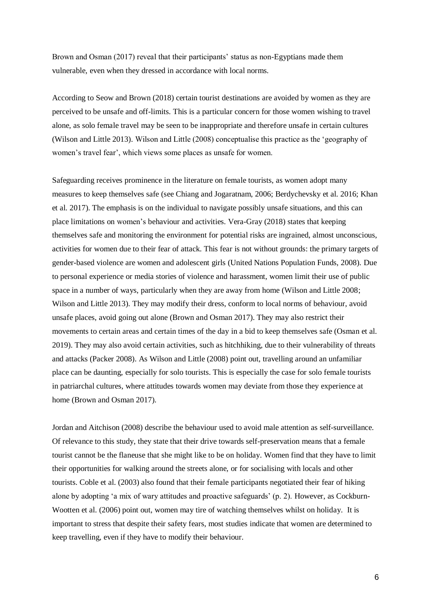Brown and Osman (2017) reveal that their participants' status as non-Egyptians made them vulnerable, even when they dressed in accordance with local norms.

According to Seow and Brown (2018) certain tourist destinations are avoided by women as they are perceived to be unsafe and off-limits. This is a particular concern for those women wishing to travel alone, as solo female travel may be seen to be inappropriate and therefore unsafe in certain cultures (Wilson and Little 2013). Wilson and Little (2008) conceptualise this practice as the 'geography of women's travel fear', which views some places as unsafe for women.

Safeguarding receives prominence in the literature on female tourists, as women adopt many measures to keep themselves safe (see Chiang and Jogaratnam, 2006; Berdychevsky et al. 2016; Khan et al. 2017). The emphasis is on the individual to navigate possibly unsafe situations, and this can place limitations on women's behaviour and activities. Vera-Gray (2018) states that keeping themselves safe and monitoring the environment for potential risks are ingrained, almost unconscious, activities for women due to their fear of attack. This fear is not without grounds: the primary targets of gender-based violence are women and adolescent girls (United Nations Population Funds, 2008). Due to personal experience or media stories of violence and harassment, women limit their use of public space in a number of ways, particularly when they are away from home (Wilson and Little 2008; Wilson and Little 2013). They may modify their dress, conform to local norms of behaviour, avoid unsafe places, avoid going out alone (Brown and Osman 2017). They may also restrict their movements to certain areas and certain times of the day in a bid to keep themselves safe (Osman et al. 2019). They may also avoid certain activities, such as hitchhiking, due to their vulnerability of threats and attacks (Packer 2008). As Wilson and Little (2008) point out, travelling around an unfamiliar place can be daunting, especially for solo tourists. This is especially the case for solo female tourists in patriarchal cultures, where attitudes towards women may deviate from those they experience at home (Brown and Osman 2017).

Jordan and Aitchison (2008) describe the behaviour used to avoid male attention as self-surveillance. Of relevance to this study, they state that their drive towards self-preservation means that a female tourist cannot be the flaneuse that she might like to be on holiday. Women find that they have to limit their opportunities for walking around the streets alone, or for socialising with locals and other tourists. Coble et al. (2003) also found that their female participants negotiated their fear of hiking alone by adopting 'a mix of wary attitudes and proactive safeguards' (p. 2). However, as Cockburn-Wootten et al. (2006) point out, women may tire of watching themselves whilst on holiday. It is important to stress that despite their safety fears, most studies indicate that women are determined to keep travelling, even if they have to modify their behaviour.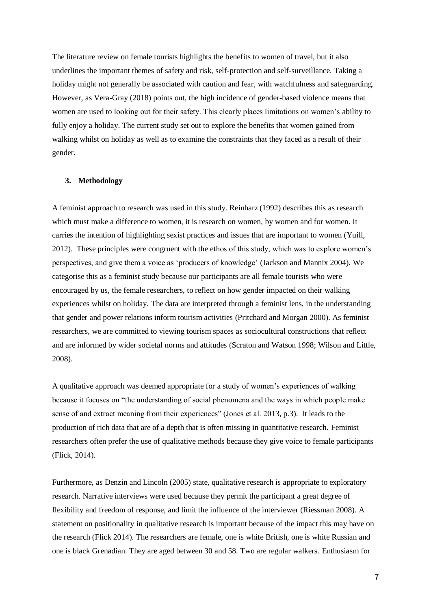The literature review on female tourists highlights the benefits to women of travel, but it also underlines the important themes of safety and risk, self-protection and self-surveillance. Taking a holiday might not generally be associated with caution and fear, with watchfulness and safeguarding. However, as Vera-Gray (2018) points out, the high incidence of gender-based violence means that women are used to looking out for their safety. This clearly places limitations on women's ability to fully enjoy a holiday. The current study set out to explore the benefits that women gained from walking whilst on holiday as well as to examine the constraints that they faced as a result of their gender.

#### **3. Methodology**

A feminist approach to research was used in this study. Reinharz (1992) describes this as research which must make a difference to women, it is research on women, by women and for women. It carries the intention of highlighting sexist practices and issues that are important to women (Yuill, 2012). These principles were congruent with the ethos of this study, which was to explore women's perspectives, and give them a voice as 'producers of knowledge' (Jackson and Mannix 2004). We categorise this as a feminist study because our participants are all female tourists who were encouraged by us, the female researchers, to reflect on how gender impacted on their walking experiences whilst on holiday. The data are interpreted through a feminist lens, in the understanding that gender and power relations inform tourism activities (Pritchard and Morgan 2000). As feminist researchers, we are committed to viewing tourism spaces as sociocultural constructions that reflect and are informed by wider societal norms and attitudes (Scraton and Watson 1998; Wilson and Little, 2008).

A qualitative approach was deemed appropriate for a study of women's experiences of walking because it focuses on "the understanding of social phenomena and the ways in which people make sense of and extract meaning from their experiences" (Jones et al. 2013, p.3). It leads to the production of rich data that are of a depth that is often missing in quantitative research. Feminist researchers often prefer the use of qualitative methods because they give voice to female participants (Flick, 2014).

Furthermore, as Denzin and Lincoln (2005) state, qualitative research is appropriate to exploratory research. Narrative interviews were used because they permit the participant a great degree of flexibility and freedom of response, and limit the influence of the interviewer (Riessman 2008). A statement on positionality in qualitative research is important because of the impact this may have on the research (Flick 2014). The researchers are female, one is white British, one is white Russian and one is black Grenadian. They are aged between 30 and 58. Two are regular walkers. Enthusiasm for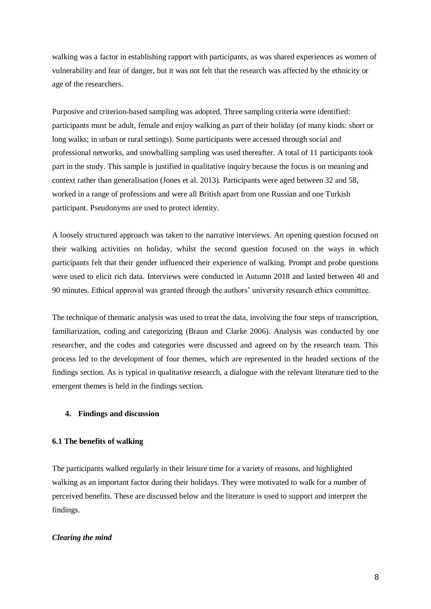walking was a factor in establishing rapport with participants, as was shared experiences as women of vulnerability and fear of danger, but it was not felt that the research was affected by the ethnicity or age of the researchers.

Purposive and criterion-based sampling was adopted. Three sampling criteria were identified: participants must be adult, female and enjoy walking as part of their holiday (of many kinds: short or long walks; in urban or rural settings). Some participants were accessed through social and professional networks, and snowballing sampling was used thereafter. A total of 11 participants took part in the study. This sample is justified in qualitative inquiry because the focus is on meaning and context rather than generalisation (Jones et al. 2013). Participants were aged between 32 and 58, worked in a range of professions and were all British apart from one Russian and one Turkish participant. Pseudonyms are used to protect identity.

A loosely structured approach was taken to the narrative interviews. An opening question focused on their walking activities on holiday, whilst the second question focused on the ways in which participants felt that their gender influenced their experience of walking. Prompt and probe questions were used to elicit rich data. Interviews were conducted in Autumn 2018 and lasted between 40 and 90 minutes. Ethical approval was granted through the authors' university research ethics committee.

The technique of thematic analysis was used to treat the data, involving the four steps of transcription, familiarization, coding and categorizing (Braun and Clarke 2006). Analysis was conducted by one researcher, and the codes and categories were discussed and agreed on by the research team. This process led to the development of four themes, which are represented in the headed sections of the findings section. As is typical in qualitative research, a dialogue with the relevant literature tied to the emergent themes is held in the findings section.

## **4. Findings and discussion**

## **6.1 The benefits of walking**

The participants walked regularly in their leisure time for a variety of reasons, and highlighted walking as an important factor during their holidays. They were motivated to walk for a number of perceived benefits. These are discussed below and the literature is used to support and interpret the findings.

#### *Clearing the mind*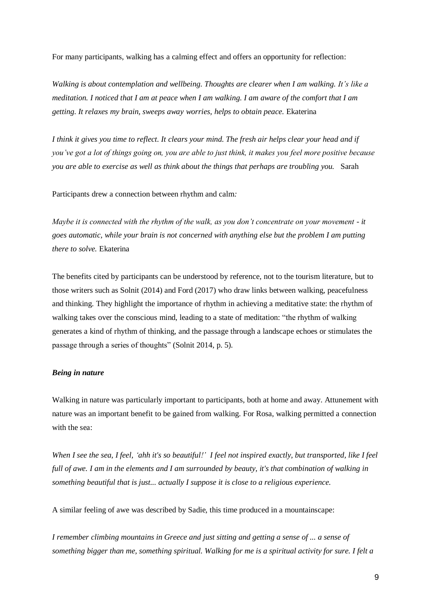For many participants, walking has a calming effect and offers an opportunity for reflection:

*Walking is about contemplation and wellbeing. Thoughts are clearer when I am walking. It's like a meditation. I noticed that I am at peace when I am walking. I am aware of the comfort that I am getting. It relaxes my brain, sweeps away worries, helps to obtain peace.* Ekaterina

*I think it gives you time to reflect. It clears your mind. The fresh air helps clear your head and if you've got a lot of things going on, you are able to just think, it makes you feel more positive because you are able to exercise as well as think about the things that perhaps are troubling you.* Sarah

Participants drew a connection between rhythm and calm*:* 

*Maybe it is connected with the rhythm of the walk, as you don't concentrate on your movement - it goes automatic, while your brain is not concerned with anything else but the problem I am putting there to solve.* Ekaterina

The benefits cited by participants can be understood by reference, not to the tourism literature, but to those writers such as Solnit (2014) and Ford (2017) who draw links between walking, peacefulness and thinking. They highlight the importance of rhythm in achieving a meditative state: the rhythm of walking takes over the conscious mind, leading to a state of meditation: "the rhythm of walking generates a kind of rhythm of thinking, and the passage through a landscape echoes or stimulates the passage through a series of thoughts" (Solnit 2014, p. 5).

#### *Being in nature*

Walking in nature was particularly important to participants, both at home and away. Attunement with nature was an important benefit to be gained from walking. For Rosa, walking permitted a connection with the sea:

*When I see the sea, I feel, 'ahh it's so beautiful!' I feel not inspired exactly, but transported, like I feel full of awe. I am in the elements and I am surrounded by beauty, it's that combination of walking in something beautiful that is just... actually I suppose it is close to a religious experience.* 

A similar feeling of awe was described by Sadie, this time produced in a mountainscape:

*I remember climbing mountains in Greece and just sitting and getting a sense of ... a sense of something bigger than me, something spiritual. Walking for me is a spiritual activity for sure. I felt a*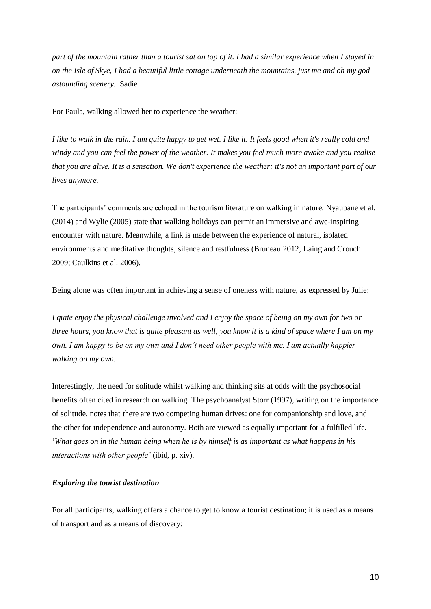*part of the mountain rather than a tourist sat on top of it. I had a similar experience when I stayed in on the Isle of Skye, I had a beautiful little cottage underneath the mountains, just me and oh my god astounding scenery.* Sadie

For Paula, walking allowed her to experience the weather:

*I like to walk in the rain. I am quite happy to get wet. I like it. It feels good when it's really cold and windy and you can feel the power of the weather. It makes you feel much more awake and you realise that you are alive. It is a sensation. We don't experience the weather; it's not an important part of our lives anymore.*

The participants' comments are echoed in the tourism literature on walking in nature. Nyaupane et al. (2014) and Wylie (2005) state that walking holidays can permit an immersive and awe-inspiring encounter with nature. Meanwhile, a link is made between the experience of natural, isolated environments and meditative thoughts, silence and restfulness (Bruneau 2012; Laing and Crouch 2009; Caulkins et al. 2006).

Being alone was often important in achieving a sense of oneness with nature, as expressed by Julie:

*I quite enjoy the physical challenge involved and I enjoy the space of being on my own for two or three hours, you know that is quite pleasant as well, you know it is a kind of space where I am on my own. I am happy to be on my own and I don't need other people with me. I am actually happier walking on my own.* 

Interestingly, the need for solitude whilst walking and thinking sits at odds with the psychosocial benefits often cited in research on walking. The psychoanalyst Storr (1997), writing on the importance of solitude, notes that there are two competing human drives: one for companionship and love, and the other for independence and autonomy. Both are viewed as equally important for a fulfilled life. '*What goes on in the human being when he is by himself is as important as what happens in his interactions with other people'* (ibid, p. xiv).

## *Exploring the tourist destination*

For all participants, walking offers a chance to get to know a tourist destination; it is used as a means of transport and as a means of discovery: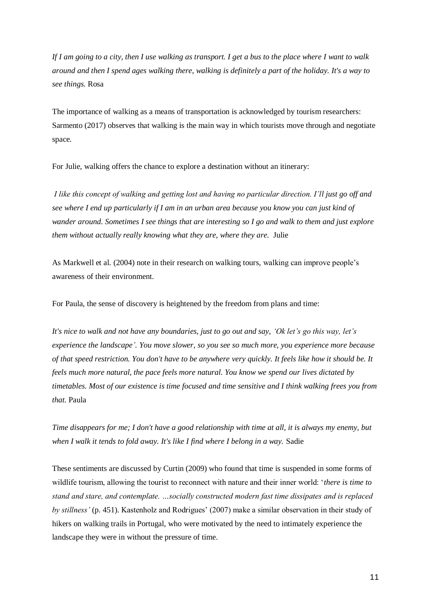*If I am going to a city, then I use walking as transport. I get a bus to the place where I want to walk around and then I spend ages walking there, walking is definitely a part of the holiday. It's a way to see things.* Rosa

The importance of walking as a means of transportation is acknowledged by tourism researchers: Sarmento (2017) observes that walking is the main way in which tourists move through and negotiate space.

For Julie, walking offers the chance to explore a destination without an itinerary:

*I like this concept of walking and getting lost and having no particular direction. I'll just go off and see where I end up particularly if I am in an urban area because you know you can just kind of wander around. Sometimes I see things that are interesting so I go and walk to them and just explore them without actually really knowing what they are, where they are.* Julie

As Markwell et al. (2004) note in their research on walking tours, walking can improve people's awareness of their environment.

For Paula, the sense of discovery is heightened by the freedom from plans and time:

*It's nice to walk and not have any boundaries, just to go out and say, 'Ok let's go this way, let's experience the landscape'. You move slower, so you see so much more, you experience more because of that speed restriction. You don't have to be anywhere very quickly. It feels like how it should be. It feels much more natural, the pace feels more natural. You know we spend our lives dictated by timetables. Most of our existence is time focused and time sensitive and I think walking frees you from that.* Paula

*Time disappears for me; I don't have a good relationship with time at all, it is always my enemy, but when I walk it tends to fold away. It's like I find where I belong in a way.* Sadie

These sentiments are discussed by Curtin (2009) who found that time is suspended in some forms of wildlife tourism, allowing the tourist to reconnect with nature and their inner world: '*there is time to stand and stare, and contemplate. …socially constructed modern fast time dissipates and is replaced by stillness'* (p. 451). Kastenholz and Rodrigues' (2007) make a similar observation in their study of hikers on walking trails in Portugal, who were motivated by the need to intimately experience the landscape they were in without the pressure of time.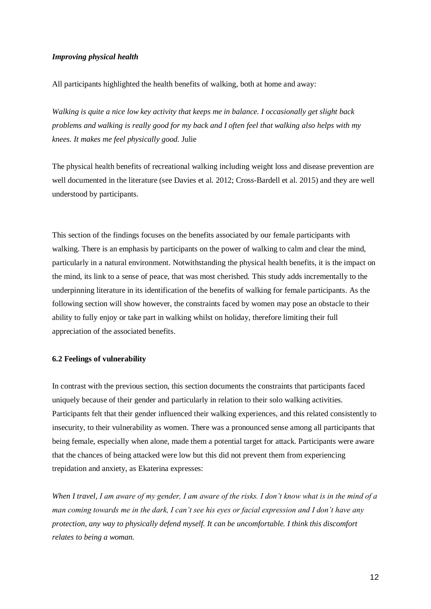### *Improving physical health*

All participants highlighted the health benefits of walking, both at home and away:

*Walking is quite a nice low key activity that keeps me in balance. I occasionally get slight back problems and walking is really good for my back and I often feel that walking also helps with my knees. It makes me feel physically good.* Julie

The physical health benefits of recreational walking including weight loss and disease prevention are well documented in the literature (see Davies et al*.* 2012; Cross-Bardell et al. 2015) and they are well understood by participants.

This section of the findings focuses on the benefits associated by our female participants with walking. There is an emphasis by participants on the power of walking to calm and clear the mind, particularly in a natural environment. Notwithstanding the physical health benefits, it is the impact on the mind, its link to a sense of peace, that was most cherished. This study adds incrementally to the underpinning literature in its identification of the benefits of walking for female participants. As the following section will show however, the constraints faced by women may pose an obstacle to their ability to fully enjoy or take part in walking whilst on holiday, therefore limiting their full appreciation of the associated benefits.

### **6.2 Feelings of vulnerability**

In contrast with the previous section, this section documents the constraints that participants faced uniquely because of their gender and particularly in relation to their solo walking activities. Participants felt that their gender influenced their walking experiences, and this related consistently to insecurity, to their vulnerability as women. There was a pronounced sense among all participants that being female, especially when alone, made them a potential target for attack. Participants were aware that the chances of being attacked were low but this did not prevent them from experiencing trepidation and anxiety, as Ekaterina expresses:

*When I travel, I am aware of my gender, I am aware of the risks. I don't know what is in the mind of a man coming towards me in the dark, I can't see his eyes or facial expression and I don't have any protection, any way to physically defend myself. It can be uncomfortable. I think this discomfort relates to being a woman.*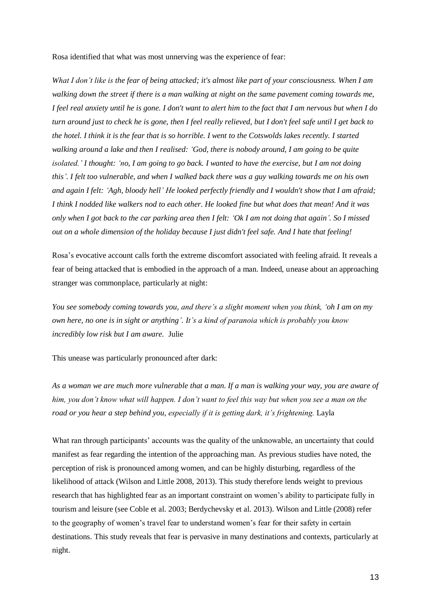Rosa identified that what was most unnerving was the experience of fear:

*What I don't like is the fear of being attacked; it's almost like part of your consciousness. When I am walking down the street if there is a man walking at night on the same pavement coming towards me, I feel real anxiety until he is gone. I don't want to alert him to the fact that I am nervous but when I do turn around just to check he is gone, then I feel really relieved, but I don't feel safe until I get back to the hotel. I think it is the fear that is so horrible. I went to the Cotswolds lakes recently. I started walking around a lake and then I realised: 'God, there is nobody around, I am going to be quite isolated.' I thought: 'no, I am going to go back. I wanted to have the exercise, but I am not doing this'. I felt too vulnerable, and when I walked back there was a guy walking towards me on his own and again I felt: 'Agh, bloody hell' He looked perfectly friendly and I wouldn't show that I am afraid; I think I nodded like walkers nod to each other. He looked fine but what does that mean! And it was only when I got back to the car parking area then I felt: 'Ok I am not doing that again'. So I missed out on a whole dimension of the holiday because I just didn't feel safe. And I hate that feeling!*

Rosa's evocative account calls forth the extreme discomfort associated with feeling afraid. It reveals a fear of being attacked that is embodied in the approach of a man. Indeed, unease about an approaching stranger was commonplace, particularly at night:

*You see somebody coming towards you, and there's a slight moment when you think, 'oh I am on my own here, no one is in sight or anything'. It's a kind of paranoia which is probably you know incredibly low risk but I am aware.* Julie

This unease was particularly pronounced after dark:

*As a woman we are much more vulnerable that a man. If a man is walking your way, you are aware of him, you don't know what will happen. I don't want to feel this way but when you see a man on the road or you hear a step behind you, especially if it is getting dark, it's frightening. Layla* 

What ran through participants' accounts was the quality of the unknowable, an uncertainty that could manifest as fear regarding the intention of the approaching man. As previous studies have noted, the perception of risk is pronounced among women, and can be highly disturbing, regardless of the likelihood of attack (Wilson and Little 2008, 2013). This study therefore lends weight to previous research that has highlighted fear as an important constraint on women's ability to participate fully in tourism and leisure (see Coble et al. 2003; Berdychevsky et al. 2013). Wilson and Little (2008) refer to the geography of women's travel fear to understand women's fear for their safety in certain destinations. This study reveals that fear is pervasive in many destinations and contexts, particularly at night.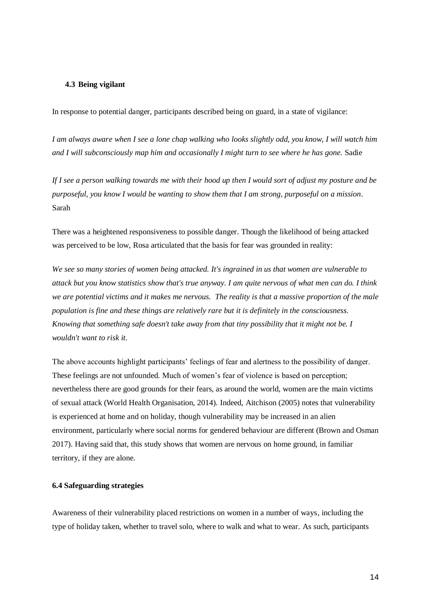# **4.3 Being vigilant**

In response to potential danger, participants described being on guard, in a state of vigilance:

*I am always aware when I see a lone chap walking who looks slightly odd, you know, I will watch him and I will subconsciously map him and occasionally I might turn to see where he has gone.* Sadie

*If I see a person walking towards me with their hood up then I would sort of adjust my posture and be purposeful, you know I would be wanting to show them that I am strong, purposeful on a mission.*  Sarah

There was a heightened responsiveness to possible danger. Though the likelihood of being attacked was perceived to be low, Rosa articulated that the basis for fear was grounded in reality:

*We see so many stories of women being attacked. It's ingrained in us that women are vulnerable to attack but you know statistics show that's true anyway. I am quite nervous of what men can do. I think we are potential victims and it makes me nervous. The reality is that a massive proportion of the male population is fine and these things are relatively rare but it is definitely in the consciousness. Knowing that something safe doesn't take away from that tiny possibility that it might not be. I wouldn't want to risk it.* 

The above accounts highlight participants' feelings of fear and alertness to the possibility of danger. These feelings are not unfounded. Much of women's fear of violence is based on perception; nevertheless there are good grounds for their fears, as around the world, women are the main victims of sexual attack (World Health Organisation, 2014). Indeed, Aitchison (2005) notes that vulnerability is experienced at home and on holiday, though vulnerability may be increased in an alien environment, particularly where social norms for gendered behaviour are different (Brown and Osman 2017). Having said that, this study shows that women are nervous on home ground, in familiar territory, if they are alone.

## **6.4 Safeguarding strategies**

Awareness of their vulnerability placed restrictions on women in a number of ways, including the type of holiday taken, whether to travel solo, where to walk and what to wear. As such, participants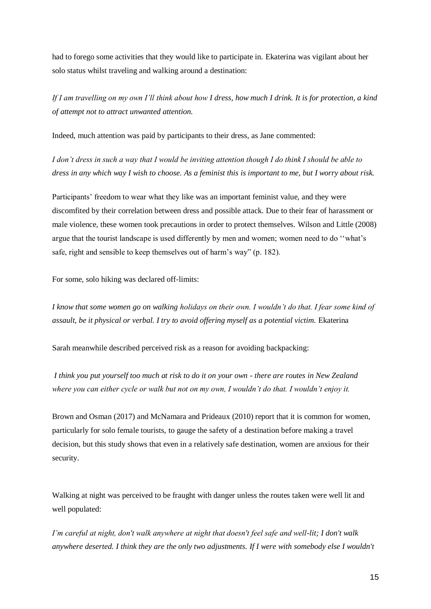had to forego some activities that they would like to participate in. Ekaterina was vigilant about her solo status whilst traveling and walking around a destination:

*If I am travelling on my own I'll think about how I dress, how much I drink. It is for protection, a kind of attempt not to attract unwanted attention.* 

Indeed, much attention was paid by participants to their dress, as Jane commented:

*I don't dress in such a way that I would be inviting attention though I do think I should be able to dress in any which way I wish to choose. As a feminist this is important to me, but I worry about risk.*

Participants' freedom to wear what they like was an important feminist value, and they were discomfited by their correlation between dress and possible attack. Due to their fear of harassment or male violence, these women took precautions in order to protect themselves. Wilson and Little (2008) argue that the tourist landscape is used differently by men and women; women need to do ''what's safe, right and sensible to keep themselves out of harm's way" (p. 182).

For some, solo hiking was declared off-limits:

*I know that some women go on walking holidays on their own. I wouldn't do that. I fear some kind of assault, be it physical or verbal. I try to avoid offering myself as a potential victim.* Ekaterina

Sarah meanwhile described perceived risk as a reason for avoiding backpacking:

*I think you put yourself too much at risk to do it on your own - there are routes in New Zealand where you can either cycle or walk but not on my own, I wouldn't do that. I wouldn't enjoy it.* 

Brown and Osman (2017) and McNamara and Prideaux (2010) report that it is common for women, particularly for solo female tourists, to gauge the safety of a destination before making a travel decision, but this study shows that even in a relatively safe destination, women are anxious for their security.

Walking at night was perceived to be fraught with danger unless the routes taken were well lit and well populated:

*I'm careful at night, don't walk anywhere at night that doesn't feel safe and well-lit; I don't walk anywhere deserted. I think they are the only two adjustments. If I were with somebody else I wouldn't*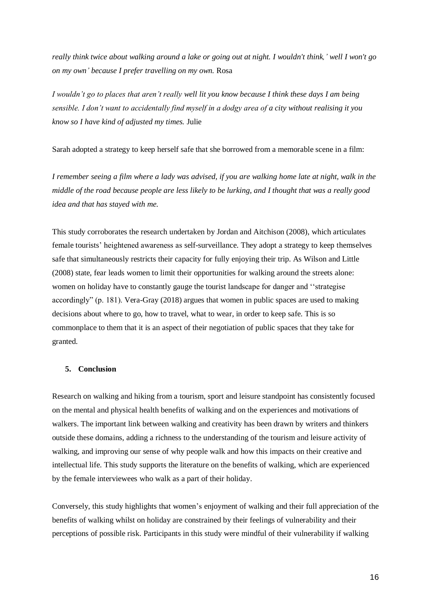*really think twice about walking around a lake or going out at night. I wouldn't think,' well I won't go on my own' because I prefer travelling on my own.* Rosa

*I wouldn't go to places that aren't really well lit you know because I think these days I am being sensible. I don't want to accidentally find myself in a dodgy area of a city without realising it you know so I have kind of adjusted my times.* Julie

Sarah adopted a strategy to keep herself safe that she borrowed from a memorable scene in a film:

*I remember seeing a film where a lady was advised, if you are walking home late at night, walk in the middle of the road because people are less likely to be lurking, and I thought that was a really good idea and that has stayed with me.* 

This study corroborates the research undertaken by Jordan and Aitchison (2008), which articulates female tourists' heightened awareness as self-surveillance. They adopt a strategy to keep themselves safe that simultaneously restricts their capacity for fully enjoying their trip. As Wilson and Little (2008) state, fear leads women to limit their opportunities for walking around the streets alone: women on holiday have to constantly gauge the tourist landscape for danger and ''strategise accordingly" (p. 181). Vera-Gray (2018) argues that women in public spaces are used to making decisions about where to go, how to travel, what to wear, in order to keep safe. This is so commonplace to them that it is an aspect of their negotiation of public spaces that they take for granted.

## **5. Conclusion**

Research on walking and hiking from a tourism, sport and leisure standpoint has consistently focused on the mental and physical health benefits of walking and on the experiences and motivations of walkers. The important link between walking and creativity has been drawn by writers and thinkers outside these domains, adding a richness to the understanding of the tourism and leisure activity of walking, and improving our sense of why people walk and how this impacts on their creative and intellectual life. This study supports the literature on the benefits of walking, which are experienced by the female interviewees who walk as a part of their holiday.

Conversely, this study highlights that women's enjoyment of walking and their full appreciation of the benefits of walking whilst on holiday are constrained by their feelings of vulnerability and their perceptions of possible risk. Participants in this study were mindful of their vulnerability if walking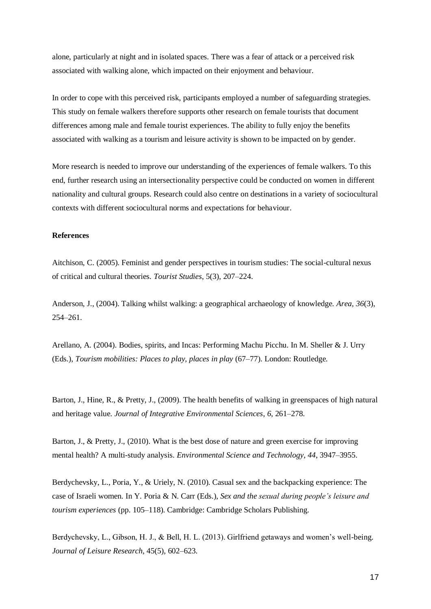alone, particularly at night and in isolated spaces. There was a fear of attack or a perceived risk associated with walking alone, which impacted on their enjoyment and behaviour.

In order to cope with this perceived risk, participants employed a number of safeguarding strategies. This study on female walkers therefore supports other research on female tourists that document differences among male and female tourist experiences. The ability to fully enjoy the benefits associated with walking as a tourism and leisure activity is shown to be impacted on by gender.

More research is needed to improve our understanding of the experiences of female walkers. To this end, further research using an intersectionality perspective could be conducted on women in different nationality and cultural groups. Research could also centre on destinations in a variety of sociocultural contexts with different sociocultural norms and expectations for behaviour.

## **References**

Aitchison, C. (2005). Feminist and gender perspectives in tourism studies: The social-cultural nexus of critical and cultural theories. *Tourist Studies*, 5(3), 207–224.

Anderson, J., (2004). Talking whilst walking: a geographical archaeology of knowledge. *Area, 36*(3), 254–261.

Arellano, A. (2004). Bodies, spirits, and Incas: Performing Machu Picchu. In M. Sheller & J. Urry (Eds.), *Tourism mobilities: Places to play, places in play* (67–77). London: Routledge.

Barton, J., Hine, R., & Pretty, J., (2009). The health benefits of walking in greenspaces of high natural and heritage value. *Journal of Integrative Environmental Sciences*, *6*, 261–278.

Barton, J., & Pretty, J., (2010). What is the best dose of nature and green exercise for improving mental health? A multi-study analysis. *Environmental Science and Technology*, *44*, 3947–3955.

Berdychevsky, L., Poria, Y., & Uriely, N. (2010). Casual sex and the backpacking experience: The case of Israeli women. In Y. Poria & N. Carr (Eds.), *Sex and the sexual during people's leisure and tourism experiences* (pp. 105–118). Cambridge: Cambridge Scholars Publishing.

Berdychevsky, L., Gibson, H. J., & Bell, H. L. (2013). Girlfriend getaways and women's well-being. *Journal of Leisure Research*, 45(5), 602–623.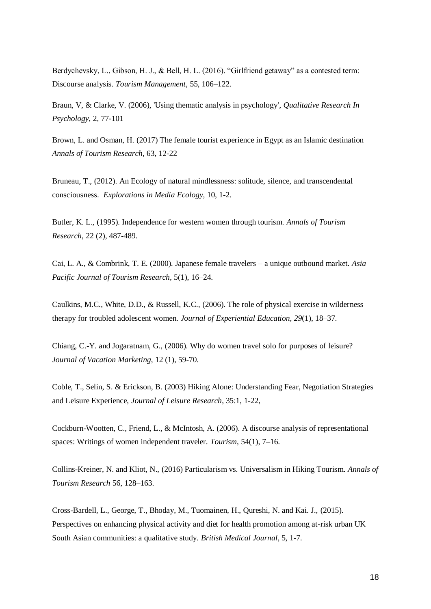Berdychevsky, L., Gibson, H. J., & Bell, H. L. (2016). "Girlfriend getaway" as a contested term: Discourse analysis. *Tourism Management*, 55, 106–122.

Braun, V, & Clarke, V. (2006), 'Using thematic analysis in psychology', *Qualitative Research In Psychology*, 2, 77-101

Brown, L. and Osman, H. (2017) The female tourist experience in Egypt as an Islamic destination *Annals of Tourism Research*, 63, 12-22

Bruneau, T., (2012). An Ecology of natural mindlessness: solitude, silence, and transcendental consciousness. *[Explorations in Media Ecology](http://www.intellectbooks.co.uk/journals/view-Journal,id=214/view,page=0/)*, 10, 1-2.

Butler, K. L., (1995). Independence for western women through tourism. *Annals of Tourism Research*, 22 (2), 487-489.

Cai, L. A., & Combrink, T. E. (2000). Japanese female travelers – a unique outbound market. *Asia Pacific Journal of Tourism Research,* 5(1), 16–24.

Caulkins, M.C., White, D.D., & Russell, K.C., (2006). The role of physical exercise in wilderness therapy for troubled adolescent women. *Journal of Experiential Education, 29*(1), 18–37.

Chiang, C.-Y. and Jogaratnam, G., (2006). Why do women travel solo for purposes of leisure? *Journal of Vacation Marketing*, 12 (1), 59-70.

Coble, T., Selin, S. & Erickson, B. (2003) Hiking Alone: Understanding Fear, Negotiation Strategies and Leisure Experience, *Journal of Leisure Research*, 35:1, 1-22,

Cockburn-Wootten, C., Friend, L., & McIntosh, A. (2006). A discourse analysis of representational spaces: Writings of women independent traveler. *Tourism*, 54(1), 7–16.

Collins-Kreiner, N. and Kliot, N., (2016) Particularism vs. Universalism in Hiking Tourism. *Annals of Tourism Research* 56, 128–163.

Cross-Bardell, L., George, T., Bhoday, M., Tuomainen, H., Qureshi, N. and Kai. J., (2015). Perspectives on enhancing physical activity and diet for health promotion among at-risk urban UK South Asian communities: a qualitative study. *British Medical Journal*, 5, 1-7.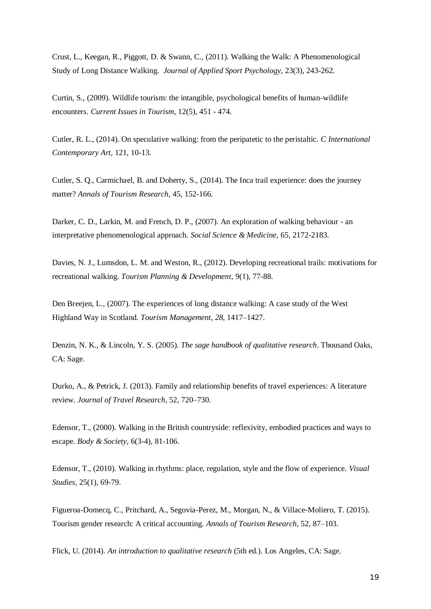Crust, L., Keegan, R., Piggott, D. & Swann, C., (2011). Walking the Walk: A Phenomenological Study of Long Distance Walking. *Journal of Applied Sport Psychology*, 23(3), 243-262.

Curtin, S., (2009). Wildlife tourism: the intangible, psychological benefits of human-wildlife encounters. *Current Issues in Tourism*, 12(5), 451 - 474.

Cutler, R. L., (2014). On speculative walking: from the peripatetic to the peristaltic. *C International Contemporary Art,* 121, 10-13.

Cutler, S. Q., Carmichael, B. and Doherty, S., (2014). The Inca trail experience: does the journey matter? *Annals of Tourism Research*, 45, 152-166.

Darker, C. D., Larkin, M. and French, D. P., (2007). An exploration of walking behaviour - an interpretative phenomenological approach. *Social Science & Medicine*, 65, 2172-2183.

Davies, N. J., Lumsdon, L. M. and Weston, R., (2012). Developing recreational trails: motivations for recreational walking. *Tourism Planning & Development*, 9(1), 77-88.

Den Breejen, L., (2007). The experiences of long distance walking: A case study of the West Highland Way in Scotland. *Tourism Management*, *28*, 1417–1427.

Denzin, N. K., & Lincoln, Y. S. (2005). *The sage handbook of qualitative research*. Thousand Oaks, CA: Sage.

Durko, A., & Petrick, J. (2013). Family and relationship benefits of travel experiences: A literature review. *Journal of Travel Research*, 52, 720–730.

Edensor, T., (2000). Walking in the British countryside: reflexivity, embodied practices and ways to escape. *Body & Society*, 6(3-4), 81-106.

Edensor, T., (2010). Walking in rhythms: place, regulation, style and the flow of experience. *Visual Studies,* 25(1), 69-79.

Figueroa-Domecq, C., Pritchard, A., Segovia-Perez, M., Morgan, N., & Villace-Moliero, T. (2015). Tourism gender research: A critical accounting. *Annals of Tourism Research*, 52, 87–103.

Flick, U. (2014). *An introduction to qualitative research* (5th ed.). Los Angeles, CA: Sage.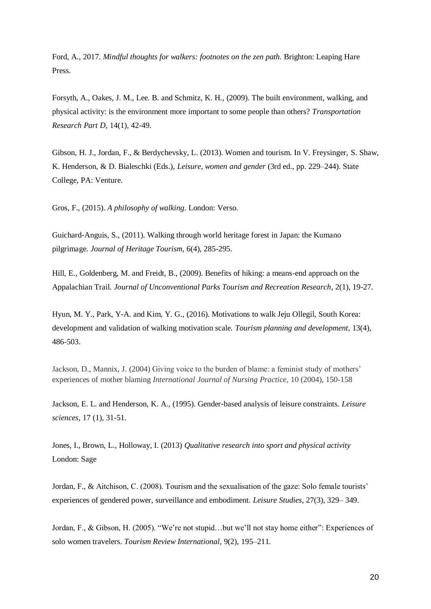Ford, A., 2017. *Mindful thoughts for walkers: footnotes on the zen path.* Brighton: Leaping Hare Press.

Forsyth, A., Oakes, J. M., Lee. B. and Schmitz, K. H., (2009). The built environment, walking, and physical activity: is the environment more important to some people than others? *Transportation Research Part D*, 14(1), 42-49.

Gibson, H. J., Jordan, F., & Berdychevsky, L. (2013). Women and tourism. In V. Freysinger, S. Shaw, K. Henderson, & D. Bialeschki (Eds.), *Leisure, women and gender* (3rd ed., pp. 229–244). State College, PA: Venture.

Gros, F., (2015). *A philosophy of walking*. London: Verso.

Guichard-Anguis, S., (2011). Walking through world heritage forest in Japan: the Kumano pilgrimage. *Journal of Heritage Tourism,* 6(4), 285-295.

Hill, E., Goldenberg, M. and Freidt, B., (2009). Benefits of hiking: a means-end approach on the Appalachian Trail. *Journal of Unconventional Parks Tourism and Recreation Research*, 2(1), 19-27.

Hyun, M. Y., Park, Y-A. and Kim, Y. G., (2016). Motivations to walk Jeju Ollegil, South Korea: development and validation of walking motivation scale. *Tourism planning and development*, 13(4), 486-503[.](http://www.newyorker.com/tech/elements/walking-helps-us-think)

Jackson, D., Mannix, J. (2004) Giving voice to the burden of blame: a feminist study of mothers' experiences of mother blaming *International Journal of Nursing Practice*, 10 (2004), 150-158

Jackson, E. L. and Henderson, K. A., (1995). Gender‐based analysis of leisure constraints. *Leisure sciences*, 17 (1), 31-51.

Jones, I., Brown, L., Holloway, I. (2013) *Qualitative research into sport and physical activity*  London: Sage

Jordan, F., & Aitchison, C. (2008). Tourism and the sexualisation of the gaze: Solo female tourists' experiences of gendered power, surveillance and embodiment. *Leisure Studies*, 27(3), 329– 349.

Jordan, F., & Gibson, H. (2005). "We're not stupid…but we'll not stay home either": Experiences of solo women travelers. *Tourism Review International*, 9(2), 195–211.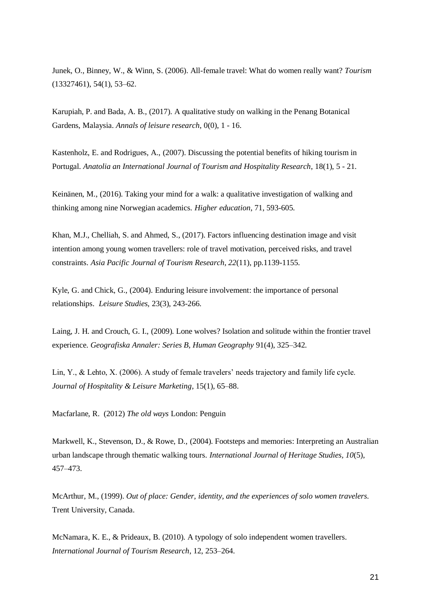Junek, O., Binney, W., & Winn, S. (2006). All-female travel: What do women really want? *Tourism* (13327461), 54(1), 53–62.

Karupiah, P. and Bada, A. B., (2017). A qualitative study on walking in the Penang Botanical Gardens, Malaysia. *Annals of leisure research*, 0(0), 1 - 16.

Kastenholz, E. and Rodrigues, A., (2007). Discussing the potential benefits of hiking tourism in Portugal. *Anatolia an International Journal of Tourism and Hospitality Research*, 18(1), 5 - 21.

Keinänen, M., (2016). Taking your mind for a walk: a qualitative investigation of walking and thinking among nine Norwegian academics. *Higher education*, 71, 593-605.

Khan, M.J., Chelliah, S. and Ahmed, S., (2017). Factors influencing destination image and visit intention among young women travellers: role of travel motivation, perceived risks, and travel constraints. *Asia Pacific Journal of Tourism Research*, *22*(11), pp.1139-1155.

Kyle, G. and Chick, G., (2004). Enduring leisure involvement: the importance of personal relationships. *Leisure Studies,* 23(3), 243-266.

Laing, J. H. and Crouch, G. I., (2009). Lone wolves? Isolation and solitude within the frontier travel experience. *Geografiska Annaler: Series B, Human Geography* 91(4), 325–342.

Lin, Y., & Lehto, X. (2006). A study of female travelers' needs trajectory and family life cycle. *Journal of Hospitality & Leisure Marketing*, 15(1), 65–88.

Macfarlane, R. (2012) *The old ways* London: Penguin

Markwell, K., Stevenson, D., & Rowe, D., (2004). Footsteps and memories: Interpreting an Australian urban landscape through thematic walking tours. *International Journal of Heritage Studies, 10*(5), 457–473.

McArthur, M., (1999). *Out of place: Gender, identity, and the experiences of solo women travelers.*  Trent University, Canada.

McNamara, K. E., & Prideaux, B. (2010). A typology of solo independent women travellers. *International Journal of Tourism Research*, 12, 253–264.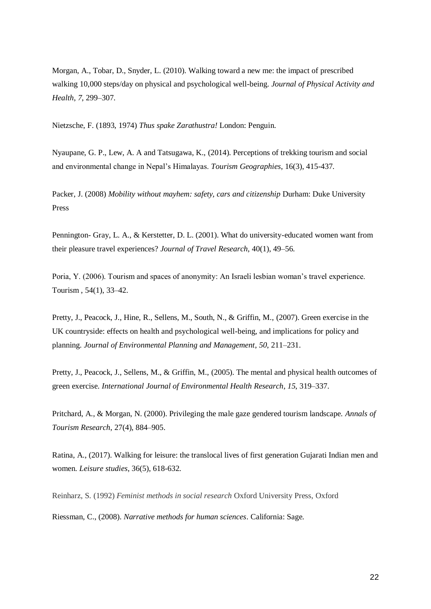Morgan, A., Tobar, D., Snyder, L. (2010). Walking toward a new me: the impact of prescribed walking 10,000 steps/day on physical and psychological well-being. *Journal of Physical Activity and Health*, *7*, 299–307.

Nietzsche, F. (1893, 1974) *Thus spake Zarathustra!* London: Penguin.

Nyaupane, G. P., Lew, A. A and Tatsugawa, K., (2014). Perceptions of trekking tourism and social and environmental change in Nepal's Himalayas. *Tourism Geographies*, 16(3), 415-437.

Packer, J. (2008) *Mobility without mayhem: safety, cars and citizenship* Durham: Duke University Press

Pennington- Gray, L. A., & Kerstetter, D. L. (2001). What do university-educated women want from their pleasure travel experiences? *Journal of Travel Research*, 40(1), 49–56.

Poria, Y. (2006). Tourism and spaces of anonymity: An Israeli lesbian woman's travel experience. Tourism , 54(1), 33–42.

Pretty, J., Peacock, J., Hine, R., Sellens, M., South, N., & Griffin, M., (2007). Green exercise in the UK countryside: effects on health and psychological well-being, and implications for policy and planning. *Journal of Environmental Planning and Management*, *50*, 211–231.

Pretty, J., Peacock, J., Sellens, M., & Griffin, M., (2005). The mental and physical health outcomes of green exercise. *International Journal of Environmental Health Research*, *15*, 319–337.

Pritchard, A., & Morgan, N. (2000). Privileging the male gaze gendered tourism landscape. *Annals of Tourism Research*, 27(4), 884–905.

Ratina, A., (2017). Walking for leisure: the translocal lives of first generation Gujarati Indian men and women. *Leisure studies*, 36(5), 618-632.

Reinharz, S. (1992) *Feminist methods in social research* Oxford University Press, Oxford

Riessman, C., (2008). *Narrative methods for human sciences*. California: Sage.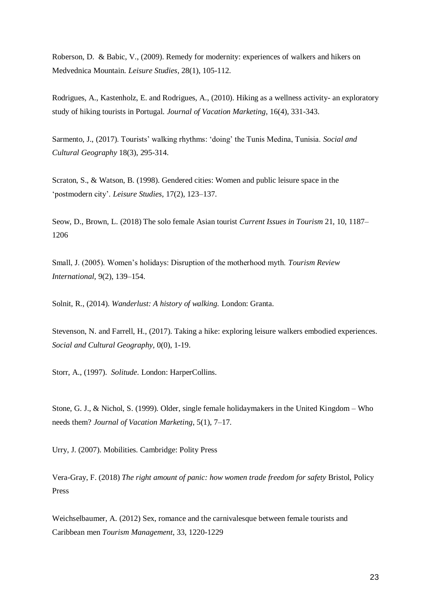Roberson, D. & Babic, V., (2009). Remedy for modernity: experiences of walkers and hikers on Medvednica Mountain. *Leisure Studies*, 28(1), 105-112.

Rodrigues, A., Kastenholz, E. and Rodrigues, A., (2010). Hiking as a wellness activity- an exploratory study of hiking tourists in Portugal. *Journal of Vacation Marketing*, 16(4), 331-343.

Sarmento, J., (2017). Tourists' walking rhythms: 'doing' the Tunis Medina, Tunisia. *Social and Cultural Geography* 18(3), 295-314.

Scraton, S., & Watson, B. (1998). Gendered cities: Women and public leisure space in the 'postmodern city'. *Leisure Studies*, 17(2), 123–137.

Seow, D., Brown, L. (2018) The solo female Asian tourist *Current Issues in Tourism* 21, 10, 1187– 1206

Small, J. (2005). Women's holidays: Disruption of the motherhood myth. *Tourism Review International,* 9(2), 139–154.

Solnit, R., (2014). *Wanderlust: A history of walking.* London: Granta.

Stevenson, N. and Farrell, H., (2017). Taking a hike: exploring leisure walkers embodied experiences. *Social and Cultural Geography,* 0(0), 1-19.

Storr, A., (1997). *Solitude*. London: HarperCollins.

Stone, G. J., & Nichol, S. (1999). Older, single female holidaymakers in the United Kingdom – Who needs them? *Journal of Vacation Marketing*, 5(1), 7–17.

Urry, J. (2007). Mobilities. Cambridge: Polity Press

Vera-Gray, F. (2018) *The right amount of panic: how women trade freedom for safety* Bristol, Policy Press

Weichselbaumer, A. (2012) Sex, romance and the carnivalesque between female tourists and Caribbean men *Tourism Management*, 33, 1220-1229